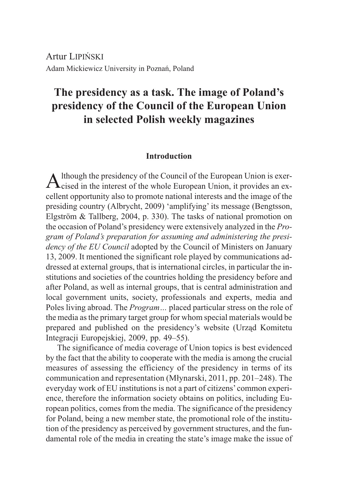Artur LIPIÑSKI Adam Mickiewicz University in Poznañ, Poland

# **The presidency as a task. The image of Poland's presidency of the Council of the European Union in selected Polish weekly magazines**

# **Introduction**

 $\mathbf A$ lthough the presidency of the Council of the European Union is exer-<br>Cised in the interest of the whole European Union, it provides an excellent opportunity also to promote national interests and the image of the presiding country (Albrycht, 2009) 'amplifying' its message (Bengtsson, Elgström & Tallberg, 2004, p. 330). The tasks of national promotion on the occasion of Poland's presidency were extensively analyzed in the *Program of Poland's preparation for assuming and administering the presidency of the EU Council* adopted by the Council of Ministers on January 13, 2009. It mentioned the significant role played by communications addressed at external groups, that is international circles, in particular the institutions and societies of the countries holding the presidency before and after Poland, as well as internal groups, that is central administration and local government units, society, professionals and experts, media and Poles living abroad. The *Program…* placed particular stress on the role of the media as the primary target group for whom special materials would be prepared and published on the presidency's website (Urząd Komitetu Integracji Europejskiej, 2009, pp. 49–55).

The significance of media coverage of Union topics is best evidenced by the fact that the ability to cooperate with the media is among the crucial measures of assessing the efficiency of the presidency in terms of its communication and representation (Młynarski, 2011, pp. 201–248). The everyday work of EU institutions is not a part of citizens' common experience, therefore the information society obtains on politics, including European politics, comes from the media. The significance of the presidency for Poland, being a new member state, the promotional role of the institution of the presidency as perceived by government structures, and the fundamental role of the media in creating the state's image make the issue of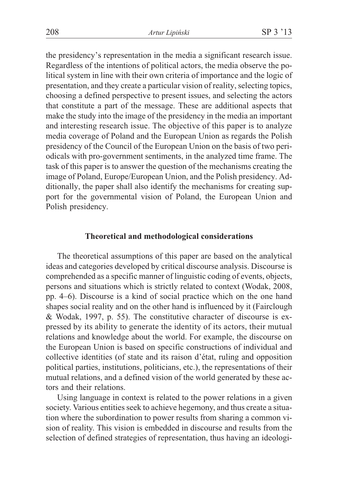the presidency's representation in the media a significant research issue. Regardless of the intentions of political actors, the media observe the political system in line with their own criteria of importance and the logic of presentation, and they create a particular vision of reality, selecting topics, choosing a defined perspective to present issues, and selecting the actors that constitute a part of the message. These are additional aspects that make the study into the image of the presidency in the media an important and interesting research issue. The objective of this paper is to analyze media coverage of Poland and the European Union as regards the Polish presidency of the Council of the European Union on the basis of two periodicals with pro-government sentiments, in the analyzed time frame. The task of this paper is to answer the question of the mechanisms creating the image of Poland, Europe/European Union, and the Polish presidency. Additionally, the paper shall also identify the mechanisms for creating support for the governmental vision of Poland, the European Union and Polish presidency.

# **Theoretical and methodological considerations**

The theoretical assumptions of this paper are based on the analytical ideas and categories developed by critical discourse analysis. Discourse is comprehended as a specific manner of linguistic coding of events, objects, persons and situations which is strictly related to context (Wodak, 2008, pp. 4–6). Discourse is a kind of social practice which on the one hand shapes social reality and on the other hand is influenced by it (Fairclough & Wodak, 1997, p. 55). The constitutive character of discourse is expressed by its ability to generate the identity of its actors, their mutual relations and knowledge about the world. For example, the discourse on the European Union is based on specific constructions of individual and collective identities (of state and its raison d'état, ruling and opposition political parties, institutions, politicians, etc.), the representations of their mutual relations, and a defined vision of the world generated by these actors and their relations.

Using language in context is related to the power relations in a given society. Various entities seek to achieve hegemony, and thus create a situation where the subordination to power results from sharing a common vision of reality. This vision is embedded in discourse and results from the selection of defined strategies of representation, thus having an ideologi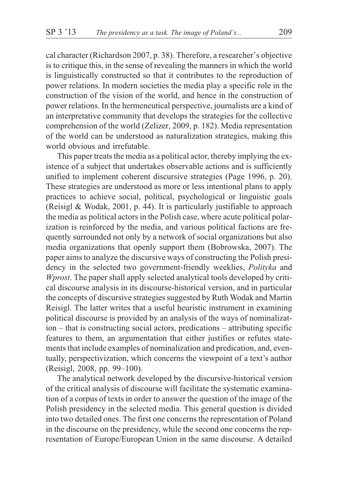cal character (Richardson 2007, p. 38). Therefore, a researcher's objective is to critique this, in the sense of revealing the manners in which the world is linguistically constructed so that it contributes to the reproduction of power relations. In modern societies the media play a specific role in the construction of the vision of the world, and hence in the construction of power relations. In the hermeneutical perspective, journalists are a kind of an interpretative community that develops the strategies for the collective comprehension of the world (Zelizer, 2009, p. 182). Media representation of the world can be understood as naturalization strategies, making this world obvious and irrefutable.

This paper treats the media as a political actor, thereby implying the existence of a subject that undertakes observable actions and is sufficiently unified to implement coherent discursive strategies (Page 1996, p. 20). These strategies are understood as more or less intentional plans to apply practices to achieve social, political, psychological or linguistic goals (Reisigl & Wodak, 2001, p. 44). It is particularly justifiable to approach the media as political actors in the Polish case, where acute political polarization is reinforced by the media, and various political factions are frequently surrounded not only by a network of social organizations but also media organizations that openly support them (Bobrowska, 2007). The paper aims to analyze the discursive ways of constructing the Polish presidency in the selected two government-friendly weeklies, *Polityka* and *Wprost*. The paper shall apply selected analytical tools developed by critical discourse analysis in its discourse-historical version, and in particular the concepts of discursive strategies suggested by Ruth Wodak and Martin Reisigl. The latter writes that a useful heuristic instrument in examining political discourse is provided by an analysis of the ways of nominalization – that is constructing social actors, predications – attributing specific features to them, an argumentation that either justifies or refutes statements that include examples of nominalization and predication, and, eventually, perspectivization, which concerns the viewpoint of a text's author (Reisigl, 2008, pp. 99–100).

The analytical network developed by the discursive-historical version of the critical analysis of discourse will facilitate the systematic examination of a corpus of texts in order to answer the question of the image of the Polish presidency in the selected media. This general question is divided into two detailed ones. The first one concerns the representation of Poland in the discourse on the presidency, while the second one concerns the representation of Europe/European Union in the same discourse. A detailed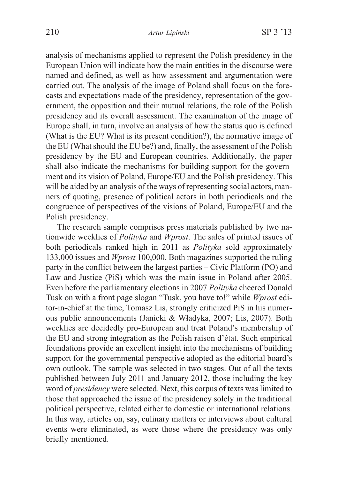analysis of mechanisms applied to represent the Polish presidency in the European Union will indicate how the main entities in the discourse were named and defined, as well as how assessment and argumentation were carried out. The analysis of the image of Poland shall focus on the forecasts and expectations made of the presidency, representation of the government, the opposition and their mutual relations, the role of the Polish presidency and its overall assessment. The examination of the image of Europe shall, in turn, involve an analysis of how the status quo is defined (What is the EU? What is its present condition?), the normative image of the EU (What should the EU be?) and, finally, the assessment of the Polish presidency by the EU and European countries. Additionally, the paper shall also indicate the mechanisms for building support for the government and its vision of Poland, Europe/EU and the Polish presidency. This will be aided by an analysis of the ways of representing social actors, manners of quoting, presence of political actors in both periodicals and the congruence of perspectives of the visions of Poland, Europe/EU and the Polish presidency.

The research sample comprises press materials published by two nationwide weeklies of *Polityka* and *Wprost*. The sales of printed issues of both periodicals ranked high in 2011 as *Polityka* sold approximately 133,000 issues and *Wprost* 100,000. Both magazines supported the ruling party in the conflict between the largest parties – Civic Platform (PO) and Law and Justice (PiS) which was the main issue in Poland after 2005. Even before the parliamentary elections in 2007 *Polityka* cheered Donald Tusk on with a front page slogan "Tusk, you have to!" while *Wprost* editor-in-chief at the time, Tomasz Lis, strongly criticized PiS in his numerous public announcements (Janicki & W³adyka, 2007; Lis, 2007). Both weeklies are decidedly pro-European and treat Poland's membership of the EU and strong integration as the Polish raison d'état. Such empirical foundations provide an excellent insight into the mechanisms of building support for the governmental perspective adopted as the editorial board's own outlook. The sample was selected in two stages. Out of all the texts published between July 2011 and January 2012, those including the key word of *presidency* were selected. Next, this corpus of texts was limited to those that approached the issue of the presidency solely in the traditional political perspective, related either to domestic or international relations. In this way, articles on, say, culinary matters or interviews about cultural events were eliminated, as were those where the presidency was only briefly mentioned.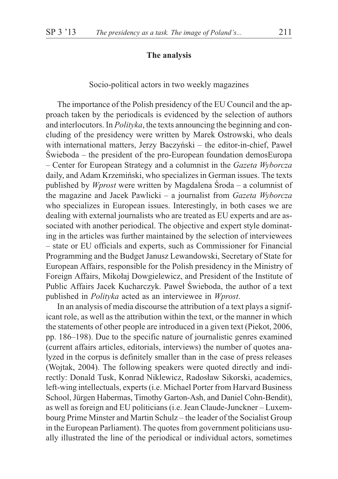## **The analysis**

### Socio-political actors in two weekly magazines

The importance of the Polish presidency of the EU Council and the approach taken by the periodicals is evidenced by the selection of authors and interlocutors. In *Polityka*, the texts announcing the beginning and concluding of the presidency were written by Marek Ostrowski, who deals with international matters, Jerzy Baczyński – the editor-in-chief, Paweł  $\acute{S}$ wieboda – the president of the pro-European foundation demosEuropa – Center for European Strategy and a columnist in the *Gazeta Wyborcza* daily, and Adam Krzemiñski, who specializes in German issues. The texts published by *Wprost* were written by Magdalena Środa – a columnist of the magazine and Jacek Pawlicki – a journalist from *Gazeta Wyborcza* who specializes in European issues. Interestingly, in both cases we are dealing with external journalists who are treated as EU experts and are associated with another periodical. The objective and expert style dominating in the articles was further maintained by the selection of interviewees – state or EU officials and experts, such as Commissioner for Financial Programming and the Budget Janusz Lewandowski, Secretary of State for European Affairs, responsible for the Polish presidency in the Ministry of Foreign Affairs, Mikołaj Dowgielewicz, and President of the Institute of Public Affairs Jacek Kucharczyk. Paweł Świeboda, the author of a text published in *Polityka* acted as an interviewee in *Wprost*.

In an analysis of media discourse the attribution of a text plays a significant role, as well as the attribution within the text, or the manner in which the statements of other people are introduced in a given text (Piekot, 2006, pp. 186–198). Due to the specific nature of journalistic genres examined (current affairs articles, editorials, interviews) the number of quotes analyzed in the corpus is definitely smaller than in the case of press releases (Wojtak, 2004). The following speakers were quoted directly and indirectly: Donald Tusk, Konrad Niklewicz, Radosław Sikorski, academics, left-wing intellectuals, experts (i.e. Michael Porter from Harvard Business School, Jürgen Habermas, Timothy Garton-Ash, and Daniel Cohn-Bendit), as well as foreign and EU politicians (i.e. Jean Claude-Junckner – Luxembourg Prime Minster and Martin Schulz – the leader of the Socialist Group in the European Parliament). The quotes from government politicians usually illustrated the line of the periodical or individual actors, sometimes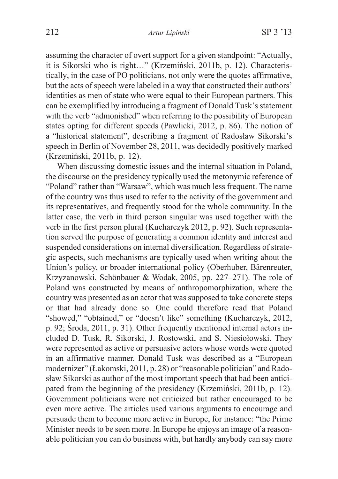assuming the character of overt support for a given standpoint: "Actually, it is Sikorski who is right…" (Krzemiñski, 2011b, p. 12). Characteristically, in the case of PO politicians, not only were the quotes affirmative, but the acts of speech were labeled in a way that constructed their authors' identities as men of state who were equal to their European partners. This can be exemplified by introducing a fragment of Donald Tusk's statement with the verb "admonished" when referring to the possibility of European states opting for different speeds (Pawlicki, 2012, p. 86). The notion of a "historical statement", describing a fragment of Radosław Sikorski's speech in Berlin of November 28, 2011, was decidedly positively marked (Krzemiñski, 2011b, p. 12).

When discussing domestic issues and the internal situation in Poland, the discourse on the presidency typically used the metonymic reference of "Poland" rather than "Warsaw", which was much less frequent. The name of the country was thus used to refer to the activity of the government and its representatives, and frequently stood for the whole community. In the latter case, the verb in third person singular was used together with the verb in the first person plural (Kucharczyk 2012, p. 92). Such representation served the purpose of generating a common identity and interest and suspended considerations on internal diversification. Regardless of strategic aspects, such mechanisms are typically used when writing about the Union's policy, or broader international policy (Oberhuber, Bärenreuter, Krzyzanowski, Schönbauer & Wodak, 2005, pp. 227–271). The role of Poland was constructed by means of anthropomorphization, where the country was presented as an actor that was supposed to take concrete steps or that had already done so. One could therefore read that Poland "showed," "obtained," or "doesn't like" something (Kucharczyk, 2012, p. 92;  $\text{Sroda}, 2011, \text{p}, 31$ . Other frequently mentioned internal actors included D. Tusk, R. Sikorski, J. Rostowski, and S. Niesiołowski. They were represented as active or persuasive actors whose words were quoted in an affirmative manner. Donald Tusk was described as a "European modernizer" (£akomski, 2011, p. 28) or "reasonable politician" and Radosław Sikorski as author of the most important speech that had been anticipated from the beginning of the presidency (Krzemiñski, 2011b, p. 12). Government politicians were not criticized but rather encouraged to be even more active. The articles used various arguments to encourage and persuade them to become more active in Europe, for instance: "the Prime Minister needs to be seen more. In Europe he enjoys an image of a reasonable politician you can do business with, but hardly anybody can say more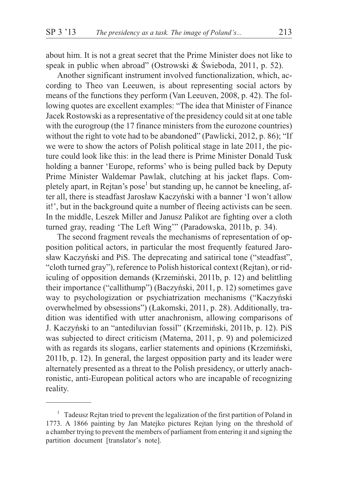about him. It is not a great secret that the Prime Minister does not like to speak in public when abroad" (Ostrowski & Świeboda, 2011, p. 52).

Another significant instrument involved functionalization, which, according to Theo van Leeuwen, is about representing social actors by means of the functions they perform (Van Leeuven, 2008, p. 42). The following quotes are excellent examples: "The idea that Minister of Finance Jacek Rostowski as a representative of the presidency could sit at one table with the eurogroup (the 17 finance ministers from the eurozone countries) without the right to vote had to be abandoned" (Pawlicki, 2012, p. 86); "If we were to show the actors of Polish political stage in late 2011, the picture could look like this: in the lead there is Prime Minister Donald Tusk holding a banner 'Europe, reforms' who is being pulled back by Deputy Prime Minister Waldemar Pawlak, clutching at his jacket flaps. Completely apart, in Rejtan's pose<sup>1</sup> but standing up, he cannot be kneeling, after all, there is steadfast Jarosław Kaczyński with a banner 'I won't allow it!', but in the background quite a number of fleeing activists can be seen. In the middle, Leszek Miller and Janusz Palikot are fighting over a cloth turned gray, reading 'The Left Wing'" (Paradowska, 2011b, p. 34).

The second fragment reveals the mechanisms of representation of opposition political actors, in particular the most frequently featured Jarosław Kaczyński and PiS. The deprecating and satirical tone ("steadfast", "cloth turned gray"), reference to Polish historical context (Rejtan), or ridiculing of opposition demands (Krzemiñski, 2011b, p. 12) and belittling their importance ("callithump") (Baczyñski, 2011, p. 12) sometimes gave way to psychologization or psychiatrization mechanisms ("Kaczyñski overwhelmed by obsessions") (£akomski, 2011, p. 28). Additionally, tradition was identified with utter anachronism, allowing comparisons of J. Kaczyñski to an "antediluvian fossil" (Krzemiñski, 2011b, p. 12). PiS was subjected to direct criticism (Materna, 2011, p. 9) and polemicized with as regards its slogans, earlier statements and opinions (Krzemiński, 2011b, p. 12). In general, the largest opposition party and its leader were alternately presented as a threat to the Polish presidency, or utterly anachronistic, anti-European political actors who are incapable of recognizing reality.

<sup>&</sup>lt;sup>1</sup> Tadeusz Rejtan tried to prevent the legalization of the first partition of Poland in 1773. A 1866 painting by Jan Matejko pictures Rejtan lying on the threshold of a chamber trying to prevent the members of parliament from entering it and signing the partition document [translator's note].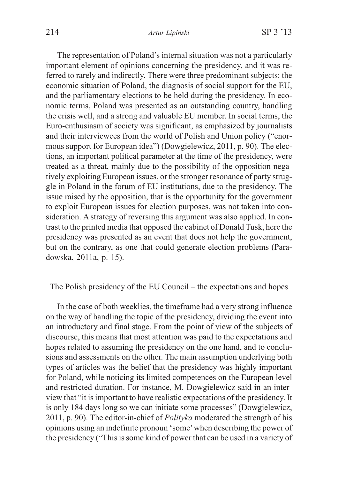The representation of Poland's internal situation was not a particularly important element of opinions concerning the presidency, and it was referred to rarely and indirectly. There were three predominant subjects: the economic situation of Poland, the diagnosis of social support for the EU, and the parliamentary elections to be held during the presidency. In economic terms, Poland was presented as an outstanding country, handling the crisis well, and a strong and valuable EU member. In social terms, the Euro-enthusiasm of society was significant, as emphasized by journalists and their interviewees from the world of Polish and Union policy ("enormous support for European idea") (Dowgielewicz, 2011, p. 90). The elections, an important political parameter at the time of the presidency, were treated as a threat, mainly due to the possibility of the opposition negatively exploiting European issues, or the stronger resonance of party struggle in Poland in the forum of EU institutions, due to the presidency. The issue raised by the opposition, that is the opportunity for the government to exploit European issues for election purposes, was not taken into consideration. A strategy of reversing this argument was also applied. In contrast to the printed media that opposed the cabinet of Donald Tusk, here the presidency was presented as an event that does not help the government, but on the contrary, as one that could generate election problems (Paradowska, 2011a, p. 15).

# The Polish presidency of the EU Council – the expectations and hopes

In the case of both weeklies, the timeframe had a very strong influence on the way of handling the topic of the presidency, dividing the event into an introductory and final stage. From the point of view of the subjects of discourse, this means that most attention was paid to the expectations and hopes related to assuming the presidency on the one hand, and to conclusions and assessments on the other. The main assumption underlying both types of articles was the belief that the presidency was highly important for Poland, while noticing its limited competences on the European level and restricted duration. For instance, M. Dowgielewicz said in an interview that "it is important to have realistic expectations of the presidency. It is only 184 days long so we can initiate some processes" (Dowgielewicz, 2011, p. 90). The editor-in-chief of *Polityka* moderated the strength of his opinions using an indefinite pronoun 'some'when describing the power of the presidency ("This is some kind of power that can be used in a variety of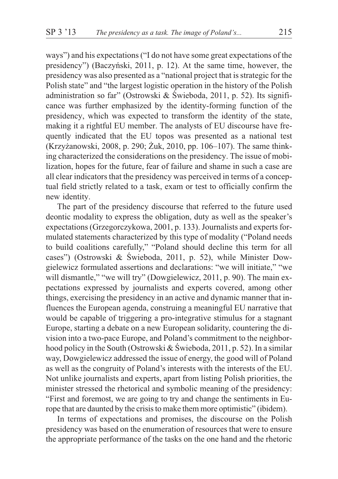ways") and his expectations ("I do not have some great expectations of the presidency") (Baczyñski, 2011, p. 12). At the same time, however, the presidency was also presented as a "national project that is strategic for the Polish state" and "the largest logistic operation in the history of the Polish administration so far" (Ostrowski & Świeboda, 2011, p. 52). Its significance was further emphasized by the identity-forming function of the presidency, which was expected to transform the identity of the state, making it a rightful EU member. The analysts of EU discourse have frequently indicated that the EU topos was presented as a national test (Krzyżanowski, 2008, p. 290; Żuk, 2010, pp. 106–107). The same thinking characterized the considerations on the presidency. The issue of mobilization, hopes for the future, fear of failure and shame in such a case are all clear indicators that the presidency was perceived in terms of a conceptual field strictly related to a task, exam or test to officially confirm the new identity.

The part of the presidency discourse that referred to the future used deontic modality to express the obligation, duty as well as the speaker's expectations (Grzegorczykowa, 2001, p. 133). Journalists and experts formulated statements characterized by this type of modality ("Poland needs to build coalitions carefully," "Poland should decline this term for all cases") (Ostrowski & Świeboda, 2011, p. 52), while Minister Dowgielewicz formulated assertions and declarations: "we will initiate," "we will dismantle," "we will try" (Dowgielewicz, 2011, p. 90). The main expectations expressed by journalists and experts covered, among other things, exercising the presidency in an active and dynamic manner that influences the European agenda, construing a meaningful EU narrative that would be capable of triggering a pro-integrative stimulus for a stagnant Europe, starting a debate on a new European solidarity, countering the division into a two-pace Europe, and Poland's commitment to the neighborhood policy in the South (Ostrowski & Świeboda, 2011, p. 52). In a similar way, Dowgielewicz addressed the issue of energy, the good will of Poland as well as the congruity of Poland's interests with the interests of the EU. Not unlike journalists and experts, apart from listing Polish priorities, the minister stressed the rhetorical and symbolic meaning of the presidency: "First and foremost, we are going to try and change the sentiments in Europe that are daunted by the crisis to make them more optimistic" (ibidem).

In terms of expectations and promises, the discourse on the Polish presidency was based on the enumeration of resources that were to ensure the appropriate performance of the tasks on the one hand and the rhetoric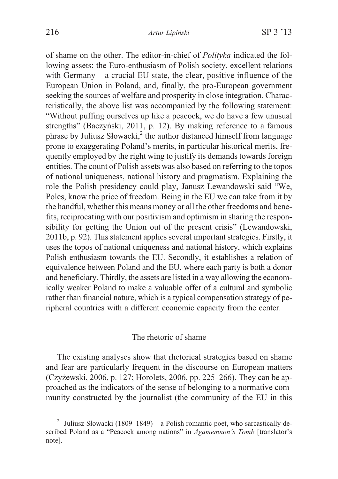of shame on the other. The editor-in-chief of *Polityka* indicated the following assets: the Euro-enthusiasm of Polish society, excellent relations with Germany – a crucial EU state, the clear, positive influence of the European Union in Poland, and, finally, the pro-European government seeking the sources of welfare and prosperity in close integration. Characteristically, the above list was accompanied by the following statement: "Without puffing ourselves up like a peacock, we do have a few unusual strengths" (Baczyñski, 2011, p. 12). By making reference to a famous phrase by Juliusz Słowacki, $^2$  the author distanced himself from language prone to exaggerating Poland's merits, in particular historical merits, frequently employed by the right wing to justify its demands towards foreign entities. The count of Polish assets was also based on referring to the topos of national uniqueness, national history and pragmatism. Explaining the role the Polish presidency could play, Janusz Lewandowski said "We, Poles, know the price of freedom. Being in the EU we can take from it by the handful, whether this means money or all the other freedoms and benefits, reciprocating with our positivism and optimism in sharing the responsibility for getting the Union out of the present crisis" (Lewandowski, 2011b, p. 92). This statement applies several important strategies. Firstly, it uses the topos of national uniqueness and national history, which explains Polish enthusiasm towards the EU. Secondly, it establishes a relation of equivalence between Poland and the EU, where each party is both a donor and beneficiary. Thirdly, the assets are listed in a way allowing the economically weaker Poland to make a valuable offer of a cultural and symbolic rather than financial nature, which is a typical compensation strategy of peripheral countries with a different economic capacity from the center.

# The rhetoric of shame

The existing analyses show that rhetorical strategies based on shame and fear are particularly frequent in the discourse on European matters (Czy¿ewski, 2006, p. 127; Horolets, 2006, pp. 225–266). They can be approached as the indicators of the sense of belonging to a normative community constructed by the journalist (the community of the EU in this

<sup>&</sup>lt;sup>2</sup> Juliusz Słowacki (1809–1849) – a Polish romantic poet, who sarcastically described Poland as a "Peacock among nations" in *Agamemnon's Tomb* [translator's note].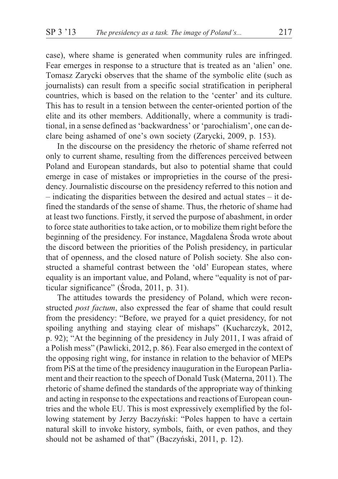case), where shame is generated when community rules are infringed. Fear emerges in response to a structure that is treated as an 'alien' one. Tomasz Zarycki observes that the shame of the symbolic elite (such as journalists) can result from a specific social stratification in peripheral countries, which is based on the relation to the 'center' and its culture. This has to result in a tension between the center-oriented portion of the elite and its other members. Additionally, where a community is traditional, in a sense defined as 'backwardness' or 'parochialism', one can declare being ashamed of one's own society (Zarycki, 2009, p. 153).

In the discourse on the presidency the rhetoric of shame referred not only to current shame, resulting from the differences perceived between Poland and European standards, but also to potential shame that could emerge in case of mistakes or improprieties in the course of the presidency. Journalistic discourse on the presidency referred to this notion and – indicating the disparities between the desired and actual states – it defined the standards of the sense of shame. Thus, the rhetoric of shame had at least two functions. Firstly, it served the purpose of abashment, in order to force state authorities to take action, or to mobilize them right before the beginning of the presidency. For instance, Magdalena Środa wrote about the discord between the priorities of the Polish presidency, in particular that of openness, and the closed nature of Polish society. She also constructed a shameful contrast between the 'old' European states, where equality is an important value, and Poland, where "equality is not of particular significance" (Środa, 2011, p. 31).

The attitudes towards the presidency of Poland, which were reconstructed *post factum*, also expressed the fear of shame that could result from the presidency: "Before, we prayed for a quiet presidency, for not spoiling anything and staying clear of mishaps" (Kucharczyk, 2012, p. 92); "At the beginning of the presidency in July 2011, I was afraid of a Polish mess" (Pawlicki, 2012, p. 86). Fear also emerged in the context of the opposing right wing, for instance in relation to the behavior of MEPs from PiS at the time of the presidency inauguration in the European Parliament and their reaction to the speech of Donald Tusk (Materna, 2011). The rhetoric of shame defined the standards of the appropriate way of thinking and acting in response to the expectations and reactions of European countries and the whole EU. This is most expressively exemplified by the following statement by Jerzy Baczyñski: "Poles happen to have a certain natural skill to invoke history, symbols, faith, or even pathos, and they should not be ashamed of that" (Baczyñski, 2011, p. 12).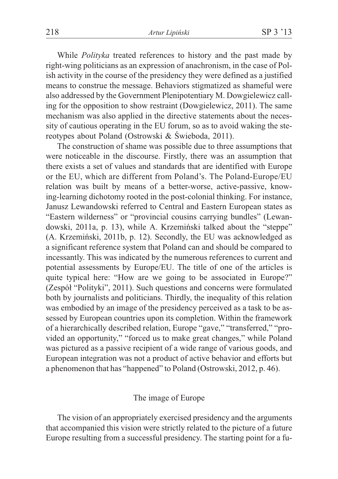While *Polityka* treated references to history and the past made by right-wing politicians as an expression of anachronism, in the case of Polish activity in the course of the presidency they were defined as a justified means to construe the message. Behaviors stigmatized as shameful were also addressed by the Government Plenipotentiary M. Dowgielewicz calling for the opposition to show restraint (Dowgielewicz, 2011). The same mechanism was also applied in the directive statements about the necessity of cautious operating in the EU forum, so as to avoid waking the stereotypes about Poland (Ostrowski & Świeboda, 2011).

The construction of shame was possible due to three assumptions that were noticeable in the discourse. Firstly, there was an assumption that there exists a set of values and standards that are identified with Europe or the EU, which are different from Poland's. The Poland-Europe/EU relation was built by means of a better-worse, active-passive, knowing-learning dichotomy rooted in the post-colonial thinking. For instance, Janusz Lewandowski referred to Central and Eastern European states as "Eastern wilderness" or "provincial cousins carrying bundles" (Lewandowski, 2011a, p. 13), while A. Krzemiñski talked about the "steppe" (A. Krzemiñski, 2011b, p. 12). Secondly, the EU was acknowledged as a significant reference system that Poland can and should be compared to incessantly. This was indicated by the numerous references to current and potential assessments by Europe/EU. The title of one of the articles is quite typical here: "How are we going to be associated in Europe?" (Zespó³ "Polityki", 2011). Such questions and concerns were formulated both by journalists and politicians. Thirdly, the inequality of this relation was embodied by an image of the presidency perceived as a task to be assessed by European countries upon its completion. Within the framework of a hierarchically described relation, Europe "gave," "transferred," "provided an opportunity," "forced us to make great changes," while Poland was pictured as a passive recipient of a wide range of various goods, and European integration was not a product of active behavior and efforts but a phenomenon that has "happened" to Poland (Ostrowski, 2012, p. 46).

### The image of Europe

The vision of an appropriately exercised presidency and the arguments that accompanied this vision were strictly related to the picture of a future Europe resulting from a successful presidency. The starting point for a fu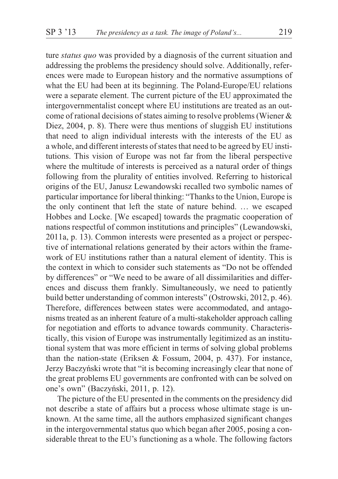ture *status quo* was provided by a diagnosis of the current situation and addressing the problems the presidency should solve. Additionally, references were made to European history and the normative assumptions of what the EU had been at its beginning. The Poland-Europe/EU relations were a separate element. The current picture of the EU approximated the intergovernmentalist concept where EU institutions are treated as an outcome of rational decisions of states aiming to resolve problems (Wiener & Diez, 2004, p. 8). There were thus mentions of sluggish EU institutions that need to align individual interests with the interests of the EU as a whole, and different interests of states that need to be agreed by EU institutions. This vision of Europe was not far from the liberal perspective where the multitude of interests is perceived as a natural order of things following from the plurality of entities involved. Referring to historical origins of the EU, Janusz Lewandowski recalled two symbolic names of particular importance for liberal thinking: "Thanks to the Union, Europe is the only continent that left the state of nature behind. … we escaped Hobbes and Locke. [We escaped] towards the pragmatic cooperation of nations respectful of common institutions and principles" (Lewandowski, 2011a, p. 13). Common interests were presented as a project or perspective of international relations generated by their actors within the framework of EU institutions rather than a natural element of identity. This is the context in which to consider such statements as "Do not be offended by differences" or "We need to be aware of all dissimilarities and differences and discuss them frankly. Simultaneously, we need to patiently build better understanding of common interests" (Ostrowski, 2012, p. 46). Therefore, differences between states were accommodated, and antagonisms treated as an inherent feature of a multi-stakeholder approach calling for negotiation and efforts to advance towards community. Characteristically, this vision of Europe was instrumentally legitimized as an institutional system that was more efficient in terms of solving global problems than the nation-state (Eriksen & Fossum, 2004, p. 437). For instance, Jerzy Baczyñski wrote that "it is becoming increasingly clear that none of the great problems EU governments are confronted with can be solved on one's own" (Baczyñski, 2011, p. 12).

The picture of the EU presented in the comments on the presidency did not describe a state of affairs but a process whose ultimate stage is unknown. At the same time, all the authors emphasized significant changes in the intergovernmental status quo which began after 2005, posing a considerable threat to the EU's functioning as a whole. The following factors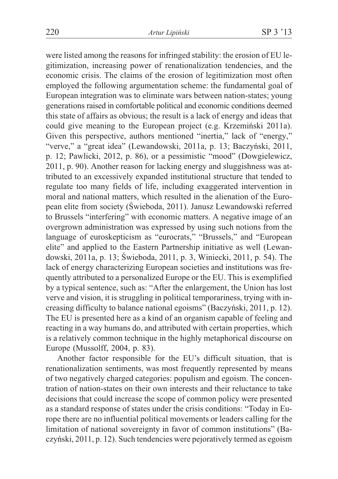were listed among the reasons for infringed stability: the erosion of EU legitimization, increasing power of renationalization tendencies, and the economic crisis. The claims of the erosion of legitimization most often employed the following argumentation scheme: the fundamental goal of European integration was to eliminate wars between nation-states; young generations raised in comfortable political and economic conditions deemed this state of affairs as obvious; the result is a lack of energy and ideas that could give meaning to the European project (e.g. Krzemiñski 2011a). Given this perspective, authors mentioned "inertia," lack of "energy," "verve," a "great idea" (Lewandowski, 2011a, p. 13; Baczyñski, 2011, p. 12; Pawlicki, 2012, p. 86), or a pessimistic "mood" (Dowgielewicz, 2011, p. 90). Another reason for lacking energy and sluggishness was attributed to an excessively expanded institutional structure that tended to regulate too many fields of life, including exaggerated intervention in moral and national matters, which resulted in the alienation of the European elite from society (Świeboda, 2011). Janusz Lewandowski referred to Brussels "interfering" with economic matters. A negative image of an overgrown administration was expressed by using such notions from the language of euroskepticism as "eurocrats," "Brussels," and "European elite" and applied to the Eastern Partnership initiative as well (Lewandowski, 2011a, p. 13; Świeboda, 2011, p. 3, Winiecki, 2011, p. 54). The lack of energy characterizing European societies and institutions was frequently attributed to a personalized Europe or the EU. This is exemplified by a typical sentence, such as: "After the enlargement, the Union has lost verve and vision, it is struggling in political temporariness, trying with increasing difficulty to balance national egoisms" (Baczyñski, 2011, p. 12). The EU is presented here as a kind of an organism capable of feeling and reacting in a way humans do, and attributed with certain properties, which is a relatively common technique in the highly metaphorical discourse on Europe (Mussolff, 2004, p. 83).

Another factor responsible for the EU's difficult situation, that is renationalization sentiments, was most frequently represented by means of two negatively charged categories: populism and egoism. The concentration of nation-states on their own interests and their reluctance to take decisions that could increase the scope of common policy were presented as a standard response of states under the crisis conditions: "Today in Europe there are no influential political movements or leaders calling for the limitation of national sovereignty in favor of common institutions" (Baczyñski, 2011, p. 12). Such tendencies were pejoratively termed as egoism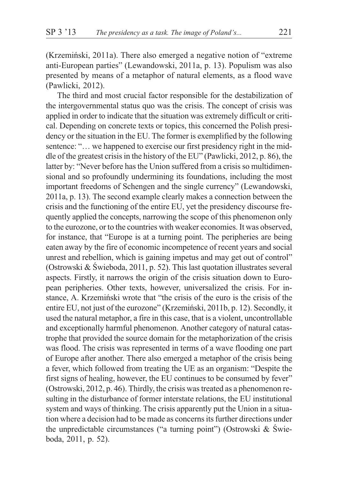(Krzemiñski, 2011a). There also emerged a negative notion of "extreme anti-European parties" (Lewandowski, 2011a, p. 13). Populism was also presented by means of a metaphor of natural elements, as a flood wave (Pawlicki, 2012).

The third and most crucial factor responsible for the destabilization of the intergovernmental status quo was the crisis. The concept of crisis was applied in order to indicate that the situation was extremely difficult or critical. Depending on concrete texts or topics, this concerned the Polish presidency or the situation in the EU. The former is exemplified by the following sentence: "... we happened to exercise our first presidency right in the middle of the greatest crisis in the history of the EU" (Pawlicki, 2012, p. 86), the latter by: "Never before has the Union suffered from a crisis so multidimensional and so profoundly undermining its foundations, including the most important freedoms of Schengen and the single currency" (Lewandowski, 2011a, p. 13). The second example clearly makes a connection between the crisis and the functioning of the entire EU, yet the presidency discourse frequently applied the concepts, narrowing the scope of this phenomenon only to the eurozone, or to the countries with weaker economies. It was observed, for instance, that "Europe is at a turning point. The peripheries are being eaten away by the fire of economic incompetence of recent years and social unrest and rebellion, which is gaining impetus and may get out of control" (Ostrowski & Świeboda, 2011, p. 52). This last quotation illustrates several aspects. Firstly, it narrows the origin of the crisis situation down to European peripheries. Other texts, however, universalized the crisis. For instance, A. Krzemiñski wrote that "the crisis of the euro is the crisis of the entire EU, not just of the eurozone" (Krzemiñski, 2011b, p. 12). Secondly, it used the natural metaphor, a fire in this case, that is a violent, uncontrollable and exceptionally harmful phenomenon. Another category of natural catastrophe that provided the source domain for the metaphorization of the crisis was flood. The crisis was represented in terms of a wave flooding one part of Europe after another. There also emerged a metaphor of the crisis being a fever, which followed from treating the UE as an organism: "Despite the first signs of healing, however, the EU continues to be consumed by fever" (Ostrowski, 2012, p. 46). Thirdly, the crisis was treated as a phenomenon resulting in the disturbance of former interstate relations, the EU institutional system and ways of thinking. The crisis apparently put the Union in a situation where a decision had to be made as concerns its further directions under the unpredictable circumstances ("a turning point") (Ostrowski  $\&$  Świeboda, 2011, p. 52).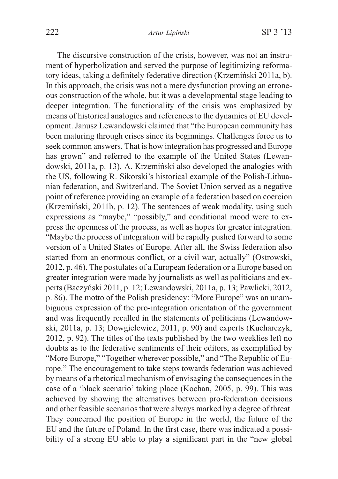The discursive construction of the crisis, however, was not an instrument of hyperbolization and served the purpose of legitimizing reformatory ideas, taking a definitely federative direction (Krzemiñski 2011a, b). In this approach, the crisis was not a mere dysfunction proving an erroneous construction of the whole, but it was a developmental stage leading to deeper integration. The functionality of the crisis was emphasized by means of historical analogies and references to the dynamics of EU development. Janusz Lewandowski claimed that "the European community has been maturing through crises since its beginnings. Challenges force us to seek common answers. That is how integration has progressed and Europe has grown" and referred to the example of the United States (Lewandowski, 2011a, p. 13). A. Krzemiñski also developed the analogies with the US, following R. Sikorski's historical example of the Polish-Lithuanian federation, and Switzerland. The Soviet Union served as a negative point of reference providing an example of a federation based on coercion (Krzemiñski, 2011b, p. 12). The sentences of weak modality, using such expressions as "maybe," "possibly," and conditional mood were to express the openness of the process, as well as hopes for greater integration. "Maybe the process of integration will be rapidly pushed forward to some version of a United States of Europe. After all, the Swiss federation also started from an enormous conflict, or a civil war, actually" (Ostrowski, 2012, p. 46). The postulates of a European federation or a Europe based on greater integration were made by journalists as well as politicians and experts (Baczyñski 2011, p. 12; Lewandowski, 2011a, p. 13; Pawlicki, 2012, p. 86). The motto of the Polish presidency: "More Europe" was an unambiguous expression of the pro-integration orientation of the government and was frequently recalled in the statements of politicians (Lewandowski, 2011a, p. 13; Dowgielewicz, 2011, p. 90) and experts (Kucharczyk, 2012, p. 92). The titles of the texts published by the two weeklies left no doubts as to the federative sentiments of their editors, as exemplified by "More Europe," "Together wherever possible," and "The Republic of Europe." The encouragement to take steps towards federation was achieved by means of a rhetorical mechanism of envisaging the consequences in the case of a 'black scenario' taking place (Kochan, 2005, p. 99). This was achieved by showing the alternatives between pro-federation decisions and other feasible scenarios that were always marked by a degree of threat. They concerned the position of Europe in the world, the future of the EU and the future of Poland. In the first case, there was indicated a possibility of a strong EU able to play a significant part in the "new global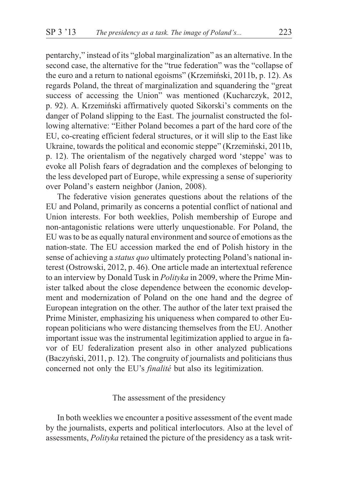pentarchy," instead of its "global marginalization" as an alternative. In the second case, the alternative for the "true federation" was the "collapse of the euro and a return to national egoisms" (Krzemiñski, 2011b, p. 12). As regards Poland, the threat of marginalization and squandering the "great success of accessing the Union" was mentioned (Kucharczyk, 2012, p. 92). A. Krzemiñski affirmatively quoted Sikorski's comments on the danger of Poland slipping to the East. The journalist constructed the following alternative: "Either Poland becomes a part of the hard core of the EU, co-creating efficient federal structures, or it will slip to the East like Ukraine, towards the political and economic steppe" (Krzemiñski, 2011b, p. 12). The orientalism of the negatively charged word 'steppe' was to evoke all Polish fears of degradation and the complexes of belonging to the less developed part of Europe, while expressing a sense of superiority over Poland's eastern neighbor (Janion, 2008).

The federative vision generates questions about the relations of the EU and Poland, primarily as concerns a potential conflict of national and Union interests. For both weeklies, Polish membership of Europe and non-antagonistic relations were utterly unquestionable. For Poland, the EU was to be as equally natural environment and source of emotions as the nation-state. The EU accession marked the end of Polish history in the sense of achieving a *status quo* ultimately protecting Poland's national interest (Ostrowski, 2012, p. 46). One article made an intertextual reference to an interview by Donald Tusk in *Polityka* in 2009, where the Prime Minister talked about the close dependence between the economic development and modernization of Poland on the one hand and the degree of European integration on the other. The author of the later text praised the Prime Minister, emphasizing his uniqueness when compared to other European politicians who were distancing themselves from the EU. Another important issue was the instrumental legitimization applied to argue in favor of EU federalization present also in other analyzed publications (Baczyñski, 2011, p. 12). The congruity of journalists and politicians thus concerned not only the EU's *finalité* but also its legitimization.

#### The assessment of the presidency

In both weeklies we encounter a positive assessment of the event made by the journalists, experts and political interlocutors. Also at the level of assessments, *Polityka* retained the picture of the presidency as a task writ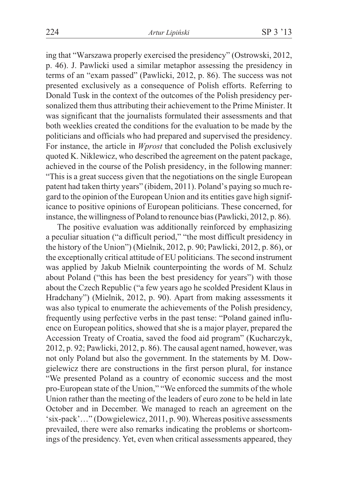ing that "Warszawa properly exercised the presidency" (Ostrowski, 2012, p. 46). J. Pawlicki used a similar metaphor assessing the presidency in terms of an "exam passed" (Pawlicki, 2012, p. 86). The success was not presented exclusively as a consequence of Polish efforts. Referring to Donald Tusk in the context of the outcomes of the Polish presidency personalized them thus attributing their achievement to the Prime Minister. It was significant that the journalists formulated their assessments and that both weeklies created the conditions for the evaluation to be made by the politicians and officials who had prepared and supervised the presidency. For instance, the article in *Wprost* that concluded the Polish exclusively quoted K. Niklewicz, who described the agreement on the patent package, achieved in the course of the Polish presidency, in the following manner: "This is a great success given that the negotiations on the single European patent had taken thirty years" (ibidem, 2011). Poland's paying so much regard to the opinion of the European Union and its entities gave high significance to positive opinions of European politicians. These concerned, for instance, the willingness of Poland to renounce bias (Pawlicki, 2012, p. 86).

The positive evaluation was additionally reinforced by emphasizing a peculiar situation ("a difficult period," "the most difficult presidency in the history of the Union") (Mielnik, 2012, p. 90; Pawlicki, 2012, p. 86), or the exceptionally critical attitude of EU politicians. The second instrument was applied by Jakub Mielnik counterpointing the words of M. Schulz about Poland ("this has been the best presidency for years") with those about the Czech Republic ("a few years ago he scolded President Klaus in Hradchany") (Mielnik, 2012, p. 90). Apart from making assessments it was also typical to enumerate the achievements of the Polish presidency, frequently using perfective verbs in the past tense: "Poland gained influence on European politics, showed that she is a major player, prepared the Accession Treaty of Croatia, saved the food aid program" (Kucharczyk, 2012, p. 92; Pawlicki, 2012, p. 86). The causal agent named, however, was not only Poland but also the government. In the statements by M. Dowgielewicz there are constructions in the first person plural, for instance "We presented Poland as a country of economic success and the most pro-European state of the Union," "We enforced the summits of the whole Union rather than the meeting of the leaders of euro zone to be held in late October and in December. We managed to reach an agreement on the 'six-pack'…" (Dowgielewicz, 2011, p. 90). Whereas positive assessments prevailed, there were also remarks indicating the problems or shortcomings of the presidency. Yet, even when critical assessments appeared, they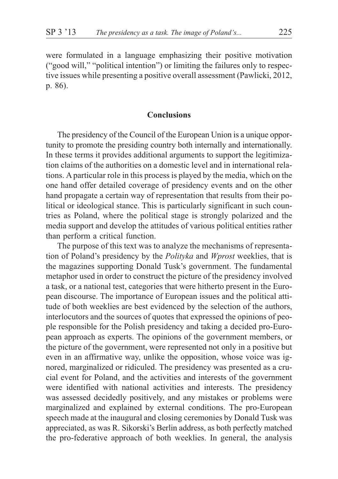were formulated in a language emphasizing their positive motivation ("good will," "political intention") or limiting the failures only to respective issues while presenting a positive overall assessment (Pawlicki, 2012, p. 86).

## **Conclusions**

The presidency of the Council of the European Union is a unique opportunity to promote the presiding country both internally and internationally. In these terms it provides additional arguments to support the legitimization claims of the authorities on a domestic level and in international relations. A particular role in this process is played by the media, which on the one hand offer detailed coverage of presidency events and on the other hand propagate a certain way of representation that results from their political or ideological stance. This is particularly significant in such countries as Poland, where the political stage is strongly polarized and the media support and develop the attitudes of various political entities rather than perform a critical function.

The purpose of this text was to analyze the mechanisms of representation of Poland's presidency by the *Polityka* and *Wprost* weeklies, that is the magazines supporting Donald Tusk's government. The fundamental metaphor used in order to construct the picture of the presidency involved a task, or a national test, categories that were hitherto present in the European discourse. The importance of European issues and the political attitude of both weeklies are best evidenced by the selection of the authors, interlocutors and the sources of quotes that expressed the opinions of people responsible for the Polish presidency and taking a decided pro-European approach as experts. The opinions of the government members, or the picture of the government, were represented not only in a positive but even in an affirmative way, unlike the opposition, whose voice was ignored, marginalized or ridiculed. The presidency was presented as a crucial event for Poland, and the activities and interests of the government were identified with national activities and interests. The presidency was assessed decidedly positively, and any mistakes or problems were marginalized and explained by external conditions. The pro-European speech made at the inaugural and closing ceremonies by Donald Tusk was appreciated, as was R. Sikorski's Berlin address, as both perfectly matched the pro-federative approach of both weeklies. In general, the analysis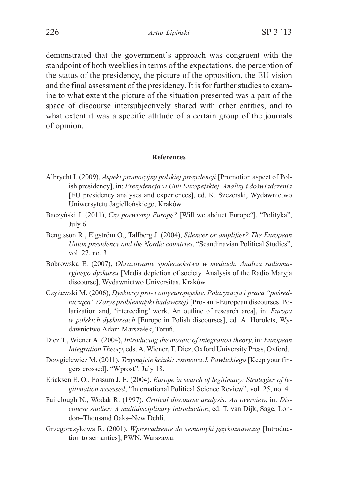demonstrated that the government's approach was congruent with the standpoint of both weeklies in terms of the expectations, the perception of the status of the presidency, the picture of the opposition, the EU vision and the final assessment of the presidency. It is for further studies to examine to what extent the picture of the situation presented was a part of the space of discourse intersubjectively shared with other entities, and to what extent it was a specific attitude of a certain group of the journals of opinion.

#### **References**

- Albrycht I. (2009), *Aspekt promocyjny polskiej prezydencji* [Promotion aspect of Polish presidency], in: *Prezydencja w Unii Europejskiej. Analizy i doświadczenia* [EU presidency analyses and experiences], ed. K. Szczerski, Wydawnictwo Uniwersytetu Jagielloñskiego, Kraków.
- Baczyñski J. (2011), *Czy porwiemy Europê?* [Will we abduct Europe?], "Polityka", July 6.
- Bengtsson R., Elgström O., Tallberg J. (2004), *Silencer or amplifier? The European Union presidency and the Nordic countries*, "Scandinavian Political Studies", vol. 27, no. 3.
- Bobrowska E. (2007), *Obrazowanie społeczeństwa w mediach. Analiza radiomaryjnego dyskursu* [Media depiction of society. Analysis of the Radio Maryja discourse], Wydawnictwo Universitas, Kraków.
- Czyżewski M. (2006), *Dyskursy pro- i antyeuropejskie. Polaryzacja i praca "pośrednicz¹ca" (Zarys problematyki badawczej)* [Pro- anti-European discourses. Polarization and, 'interceding' work. An outline of research area], in: *Europa w polskich dyskursach* [Europe in Polish discourses], ed. A. Horolets, Wydawnictwo Adam Marszałek, Toruń.
- Diez T., Wiener A. (2004), *Introducing the mosaic of integration theory*, in: *European Integration Theory*, eds. A. Wiener, T. Diez, Oxford University Press, Oxford.
- Dowgielewicz M. (2011), *Trzymajcie kciuki: rozmowa J. Pawlickiego* [Keep your fingers crossed], "Wprost", July 18.
- Ericksen E. O., Fossum J. E. (2004), *Europe in search of legitimacy: Strategies of legitimation assessed*, "International Political Science Review", vol. 25, no. 4.
- Fairclough N., Wodak R. (1997), *Critical discourse analysis: An overview*, in: *Discourse studies: A multidisciplinary introduction*, ed. T. van Dijk, Sage, London–Thousand Oaks–New Dehli.
- Grzegorczykowa R. (2001), *Wprowadzenie do semantyki jêzykoznawczej* [Introduction to semantics], PWN, Warszawa.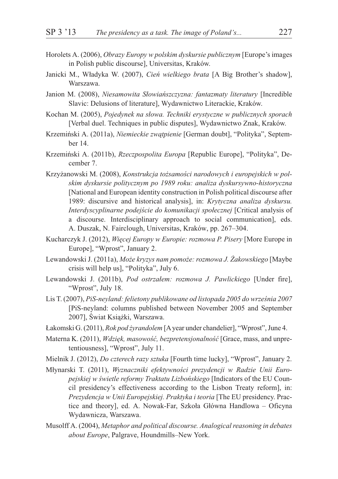- Horolets A. (2006), *Obrazy Europy w polskim dyskursie publicznym* [Europe's images in Polish public discourse], Universitas, Kraków.
- Janicki M., W³adyka W. (2007), *Cieñ wielkiego brata* [A Big Brother's shadow], Warszawa.
- Janion M. (2008), *Niesamowita Słowiańszczyzna: fantazmaty literatury* [Incredible Slavic: Delusions of literature], Wydawnictwo Literackie, Kraków.
- Kochan M. (2005), *Pojedynek na słowa. Techniki erystyczne w publicznych sporach* [Verbal duel. Techniques in public disputes], Wydawnictwo Znak, Kraków.
- Krzemiński A. (2011a), *Niemieckie zwatpienie* [German doubt], "Polityka", September 14.
- Krzemiñski A. (2011b), *Rzeczpospolita Europa* [Republic Europe], "Polityka", December 7.
- Krzyżanowski M. (2008), *Konstrukcja tożsamości narodowych i europejskich w polskim dyskursie politycznym po 1989 roku: analiza dyskursywno-historyczna* [National and European identity construction in Polish political discourse after 1989: discursive and historical analysis], in: *Krytyczna analiza dyskursu. Interdyscyplinarne podejście do komunikacji społecznej* [Critical analysis of a discourse. Interdisciplinary approach to social communication], eds. A. Duszak, N. Fairclough, Universitas, Kraków, pp. 267–304.
- Kucharczyk J. (2012), *Wiêcej Europy w Europie: rozmowa P. Pisery* [More Europe in Europe], "Wprost", January 2.
- Lewandowski J. (2011a), *Mo¿e kryzys nam pomo¿e: rozmowa J. ¯akowskiego* [Maybe crisis will help us], "Polityka", July 6.
- Lewandowski J. (2011b), *Pod ostrzałem: rozmowa J. Pawlickiego* [Under fire], "Wprost", July 18.
- Lis T. (2007), *PiS-neyland: felietony publikowane od listopada 2005 do września 2007* [PiS-neyland: columns published between November 2005 and September 2007], Świat Książki, Warszawa.
- £akomski G. (2011), *Rok pod ¿yrandolem* [Ayear under chandelier], "Wprost", June 4.
- Materna K. (2011), *Wdzięk, masowość, bezpretensjonalność* [Grace, mass, and unpretentiousness], "Wprost", July 11.
- Mielnik J. (2012), *Do czterech razy sztuka* [Fourth time lucky], "Wprost", January 2.
- Młynarski T. (2011), *Wyznaczniki efektywności prezydencji w Radzie Unii Euro*pejskiej w świetle reformy Traktatu Lizbońskiego [Indicators of the EU Council presidency's effectiveness according to the Lisbon Treaty reform], in: *Prezydencja w Unii Europejskiej. Praktyka i teoria* [The EU presidency. Practice and theory], ed. A. Nowak-Far, Szkoła Główna Handlowa – Oficyna Wydawnicza, Warszawa.
- Musolff A. (2004), *Metaphor and political discourse. Analogical reasoning in debates about Europe*, Palgrave, Houndmills–New York.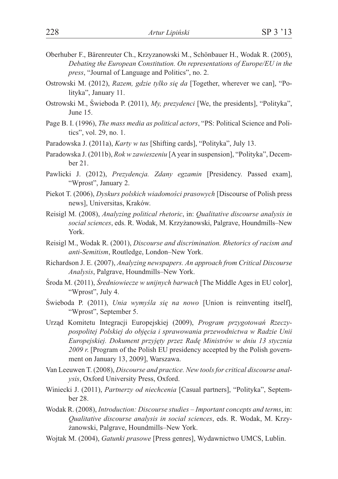- Oberhuber F., Bärenreuter Ch., Krzyzanowski M., Schönbauer H., Wodak R. (2005), *Debating the European Constitution. On representations of Europe/EU in the press*, "Journal of Language and Politics", no. 2.
- Ostrowski M. (2012), *Razem, gdzie tylko siê da* [Together, wherever we can], "Polityka", January 11.
- Ostrowski M., Świeboda P. (2011), *My, prezydenci* [We, the presidents], "Polityka", June 15.
- Page B. I. (1996), *The mass media as political actors*, "PS: Political Science and Politics", vol. 29, no. 1.
- Paradowska J. (2011a), *Karty w tas* [Shifting cards], "Polityka", July 13.
- Paradowska J. (2011b), *Rok w zawieszeniu* [A year in suspension], "Polityka", December 21.
- Pawlicki J. (2012), *Prezydencja. Zdany egzamin* [Presidency. Passed exam], "Wprost", January 2.
- Piekot T. (2006), *Dyskurs polskich wiadomoœci prasowych* [Discourse of Polish press news], Universitas, Kraków.
- Reisigl M. (2008), *Analyzing political rhetoric*, in: *Qualitative discourse analysis in social sciences*, eds. R. Wodak, M. Krzy¿anowski, Palgrave, Houndmills–New York.
- Reisigl M., Wodak R. (2001), *Discourse and discrimination. Rhetorics of racism and anti-Semitism*, Routledge, London–New York.
- Richardson J. E. (2007), *Analyzing newspapers. An approach from Critical Discourse Analysis*, Palgrave, Houndmills–New York.
- Środa M. (2011), *Średniowiecze w unijnych barwach* [The Middle Ages in EU color], "Wprost", July 4.
- Świeboda P. (2011), *Unia wymyśla się na nowo* [Union is reinventing itself], "Wprost", September 5.
- Urząd Komitetu Integracji Europejskiej (2009), *Program przygotowań Rzeczypospolitej Polskiej do objêcia i sprawowania przewodnictwa w Radzie Unii Europejskiej. Dokument przyjêty przez Radê Ministrów w dniu 13 stycznia 2009 r*. [Program of the Polish EU presidency accepted by the Polish government on January 13, 2009], Warszawa.
- Van Leeuwen T. (2008), *Discourse and practice. New tools for critical discourse analysis*, Oxford University Press, Oxford.
- Winiecki J. (2011), *Partnerzy od niechcenia* [Casual partners], "Polityka", September 28.
- Wodak R. (2008), *Introduction: Discourse studies Important concepts and terms*, in: *Qualitative discourse analysis in social sciences*, eds. R. Wodak, M. Krzy- ¿anowski, Palgrave, Houndmills–New York.
- Wojtak M. (2004), *Gatunki prasowe* [Press genres], Wydawnictwo UMCS, Lublin.